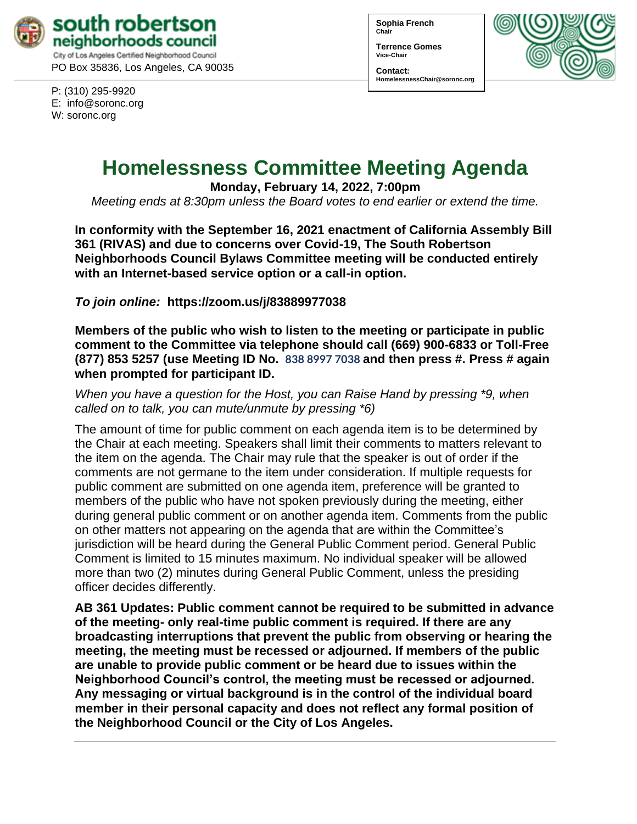

P: (310) 295-9920 E: [info@soronc.org](mailto:info@soronc.org) W: soronc.org

**Sophia French Chair**

**Terrence Gomes Vice-Chair**

**Contact: HomelessnessChair@soronc.org**



# **Homelessness Committee Meeting Agenda**

**Monday, February 14, 2022, 7:00pm**

*Meeting ends at 8:30pm unless the Board votes to end earlier or extend the time.*

**In conformity with the September 16, 2021 enactment of California Assembly Bill 361 (RIVAS) and due to concerns over Covid-19, The South Robertson Neighborhoods Council Bylaws Committee meeting will be conducted entirely with an Internet-based service option or a call-in option.**

*To join online:* **[https://zoom.us/j/](https://zoom.us/j/83889977038)83889977038** 

**Members of the public who wish to listen to the meeting or participate in public comment to the Committee via telephone should call (669) 900-6833 or Toll-Free (877) 853 5257 (use Meeting ID No. 838 8997 7038 and then press #. Press # again when prompted for participant ID.** 

*When you have a question for the Host, you can Raise Hand by pressing \*9, when called on to talk, you can mute/unmute by pressing \*6)* 

The amount of time for public comment on each agenda item is to be determined by the Chair at each meeting. Speakers shall limit their comments to matters relevant to the item on the agenda. The Chair may rule that the speaker is out of order if the comments are not germane to the item under consideration. If multiple requests for public comment are submitted on one agenda item, preference will be granted to members of the public who have not spoken previously during the meeting, either during general public comment or on another agenda item. Comments from the public on other matters not appearing on the agenda that are within the Committee's jurisdiction will be heard during the General Public Comment period. General Public Comment is limited to 15 minutes maximum. No individual speaker will be allowed more than two (2) minutes during General Public Comment, unless the presiding officer decides differently.

**AB 361 Updates: Public comment cannot be required to be submitted in advance of the meeting- only real-time public comment is required. If there are any broadcasting interruptions that prevent the public from observing or hearing the meeting, the meeting must be recessed or adjourned. If members of the public are unable to provide public comment or be heard due to issues within the Neighborhood Council's control, the meeting must be recessed or adjourned. Any messaging or virtual background is in the control of the individual board member in their personal capacity and does not reflect any formal position of the Neighborhood Council or the City of Los Angeles.**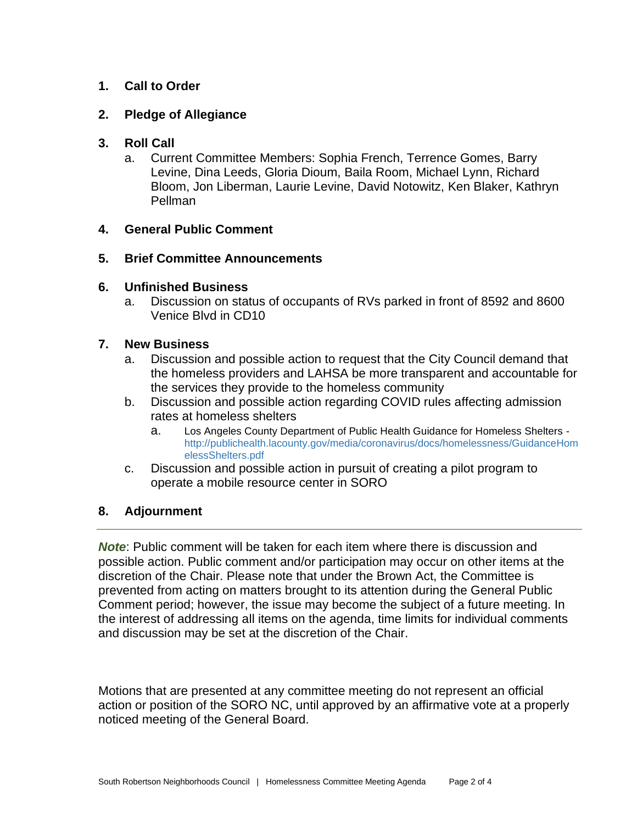## **1. Call to Order**

#### **2. Pledge of Allegiance**

#### **3. Roll Call**

a. Current Committee Members: Sophia French, Terrence Gomes, Barry Levine, Dina Leeds, Gloria Dioum, Baila Room, Michael Lynn, Richard Bloom, Jon Liberman, Laurie Levine, David Notowitz, Ken Blaker, Kathryn Pellman

#### **4. General Public Comment**

#### **5. Brief Committee Announcements**

#### **6. Unfinished Business**

a. Discussion on status of occupants of RVs parked in front of 8592 and 8600 Venice Blvd in CD10

#### **7. New Business**

- a. Discussion and possible action to request that the City Council demand that the homeless providers and LAHSA be more transparent and accountable for the services they provide to the homeless community
- b. Discussion and possible action regarding COVID rules affecting admission rates at homeless shelters
	- a. [Los Angeles County Department of Public Health Guidance for Homeless Shelters](http://publichealth.lacounty.gov/media/coronavirus/docs/homelessness/GuidanceHomelessShelters.pdf) [http://publichealth.lacounty.gov/media/coronavirus/docs/homelessness/GuidanceHom](http://publichealth.lacounty.gov/media/coronavirus/docs/homelessness/GuidanceHomelessShelters.pdf) [elessShelters.pdf](http://publichealth.lacounty.gov/media/coronavirus/docs/homelessness/GuidanceHomelessShelters.pdf)
- c. Discussion and possible action in pursuit of creating a pilot program to operate a mobile resource center in SORO

### **8. Adjournment**

*Note*: Public comment will be taken for each item where there is discussion and possible action. Public comment and/or participation may occur on other items at the discretion of the Chair. Please note that under the Brown Act, the Committee is prevented from acting on matters brought to its attention during the General Public Comment period; however, the issue may become the subject of a future meeting. In the interest of addressing all items on the agenda, time limits for individual comments and discussion may be set at the discretion of the Chair.

Motions that are presented at any committee meeting do not represent an official action or position of the SORO NC, until approved by an affirmative vote at a properly noticed meeting of the General Board.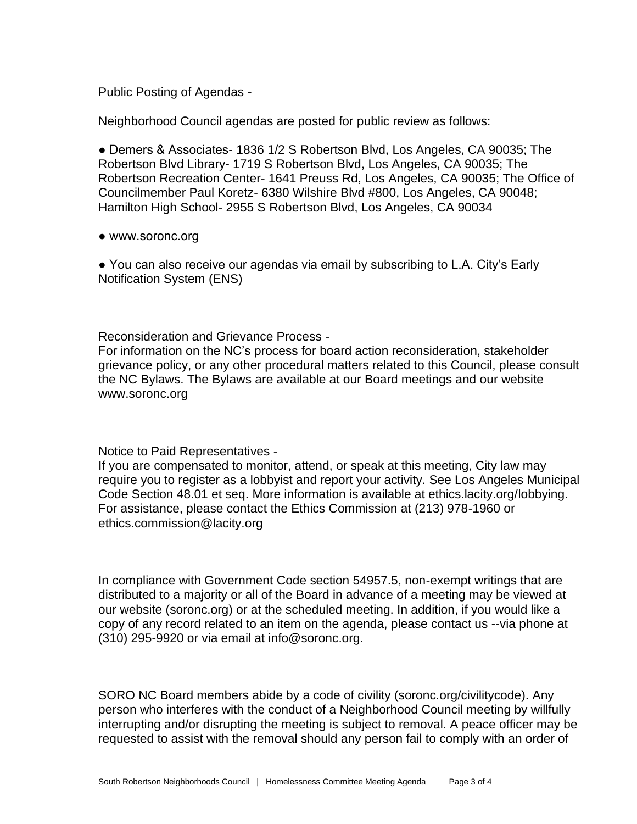Public Posting of Agendas -

Neighborhood Council agendas are posted for public review as follows:

● Demers & Associates- 1836 1/2 S Robertson Blvd, Los Angeles, CA 90035; The Robertson Blvd Library- 1719 S Robertson Blvd, Los Angeles, CA 90035; The Robertson Recreation Center- 1641 Preuss Rd, Los Angeles, CA 90035; The Office of Councilmember Paul Koretz- 6380 Wilshire Blvd #800, Los Angeles, CA 90048; Hamilton High School- 2955 S Robertson Blvd, Los Angeles, CA 90034

● www.soronc.org

● You can also receive our agendas via email by subscribing to L.A. City's Early Notification System (ENS)

Reconsideration and Grievance Process -

For information on the NC's process for board action reconsideration, stakeholder grievance policy, or any other procedural matters related to this Council, please consult the NC Bylaws. The Bylaws are available at our Board meetings and our website www.soronc.org

Notice to Paid Representatives -

If you are compensated to monitor, attend, or speak at this meeting, City law may require you to register as a lobbyist and report your activity. See Los Angeles Municipal Code Section 48.01 et seq. More information is available at ethics.lacity.org/lobbying. For assistance, please contact the Ethics Commission at (213) 978-1960 or ethics.commission@lacity.org

In compliance with Government Code section 54957.5, non-exempt writings that are distributed to a majority or all of the Board in advance of a meeting may be viewed at our website (soronc.org) or at the scheduled meeting. In addition, if you would like a copy of any record related to an item on the agenda, please contact us --via phone at (310) 295-9920 or via email at info@soronc.org.

SORO NC Board members abide by a code of civility (soronc.org/civilitycode). Any person who interferes with the conduct of a Neighborhood Council meeting by willfully interrupting and/or disrupting the meeting is subject to removal. A peace officer may be requested to assist with the removal should any person fail to comply with an order of